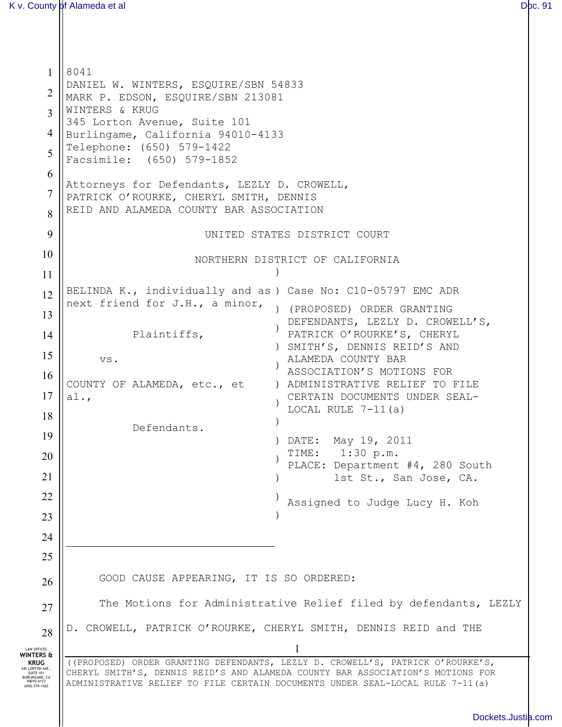1 2 3 4 5 6 7 8 9 10 11 12 13 14 15 16 17 18 19 20 21 22 23 24 25 26 27 28 LAW OFFICES **WINTERS & KRUG**<br> **SUITE** 101<br> **BURLINGAME, CA**<br>
94010-4133<br>
(650) 579-1422 1 ((PROPOSED) ORDER GRANTING DEFENDANTS, LEZLY D. CROWELL'S, PATRICK O'ROURKE'S, CHERYL SMITH'S, DENNIS REID'S AND ALAMEDA COUNTY BAR ASSOCIATION'S MOTIONS FOR ADMINISTRATIVE RELIEF TO FILE CERTAIN DOCUMENTS UNDER SEAL-LOCAL RULE 7-11(a) 8041 DANIEL W. WINTERS, ESQUIRE/SBN 54833 MARK P. EDSON, ESQUIRE/SBN 213081 WINTERS & KRUG 345 Lorton Avenue, Suite 101 Burlingame, California 94010-4133 Telephone: (650) 579-1422 Facsimile: (650) 579-1852 Attorneys for Defendants, LEZLY D. CROWELL, PATRICK O'ROURKE, CHERYL SMITH, DENNIS REID AND ALAMEDA COUNTY BAR ASSOCIATION UNITED STATES DISTRICT COURT NORTHERN DISTRICT OF CALIFORNIA BELINDA K., individually and as ) Case No: C10-05797 EMC ADR next friend for J.H., a minor, Plaintiffs, vs. COUNTY OF ALAMEDA, etc., et al., Defendants. ) ) (PROPOSED) ORDER GRANTING ) ) SMITH'S, DENNIS REID'S AND ) ) ADMINISTRATIVE RELIEF TO FILE ) ) ) DATE: May 19, 2011 ) ) ) ) DEFENDANTS, LEZLY D. CROWELL'S, PATRICK O'ROURKE'S, CHERYL ALAMEDA COUNTY BAR ASSOCIATION'S MOTIONS FOR CERTAIN DOCUMENTS UNDER SEAL-LOCAL RULE  $7-11(a)$ TIME: 1:30 p.m. PLACE: Department #4, 280 South lst St., San Jose, CA. Assigned to Judge Lucy H. Koh GOOD CAUSE APPEARING, IT IS SO ORDERED: The Motions for Administrative Relief filed by defendants, LEZLY D. CROWELL, PATRICK O'ROURKE, CHERYL SMITH, DENNIS REID and THE